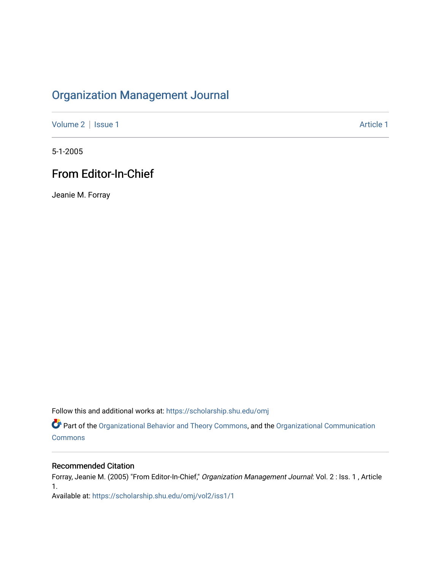## [Organization Management Journal](https://scholarship.shu.edu/omj)

[Volume 2](https://scholarship.shu.edu/omj/vol2) | [Issue 1](https://scholarship.shu.edu/omj/vol2/iss1) Article 1

5-1-2005

## From Editor-In-Chief

Jeanie M. Forray

Follow this and additional works at: [https://scholarship.shu.edu/omj](https://scholarship.shu.edu/omj?utm_source=scholarship.shu.edu%2Fomj%2Fvol2%2Fiss1%2F1&utm_medium=PDF&utm_campaign=PDFCoverPages) 

Part of the [Organizational Behavior and Theory Commons,](http://network.bepress.com/hgg/discipline/639?utm_source=scholarship.shu.edu%2Fomj%2Fvol2%2Fiss1%2F1&utm_medium=PDF&utm_campaign=PDFCoverPages) and the [Organizational Communication](http://network.bepress.com/hgg/discipline/335?utm_source=scholarship.shu.edu%2Fomj%2Fvol2%2Fiss1%2F1&utm_medium=PDF&utm_campaign=PDFCoverPages) **[Commons](http://network.bepress.com/hgg/discipline/335?utm_source=scholarship.shu.edu%2Fomj%2Fvol2%2Fiss1%2F1&utm_medium=PDF&utm_campaign=PDFCoverPages)** 

## Recommended Citation

Forray, Jeanie M. (2005) "From Editor-In-Chief," Organization Management Journal: Vol. 2 : Iss. 1 , Article 1. Available at: [https://scholarship.shu.edu/omj/vol2/iss1/1](https://scholarship.shu.edu/omj/vol2/iss1/1?utm_source=scholarship.shu.edu%2Fomj%2Fvol2%2Fiss1%2F1&utm_medium=PDF&utm_campaign=PDFCoverPages)